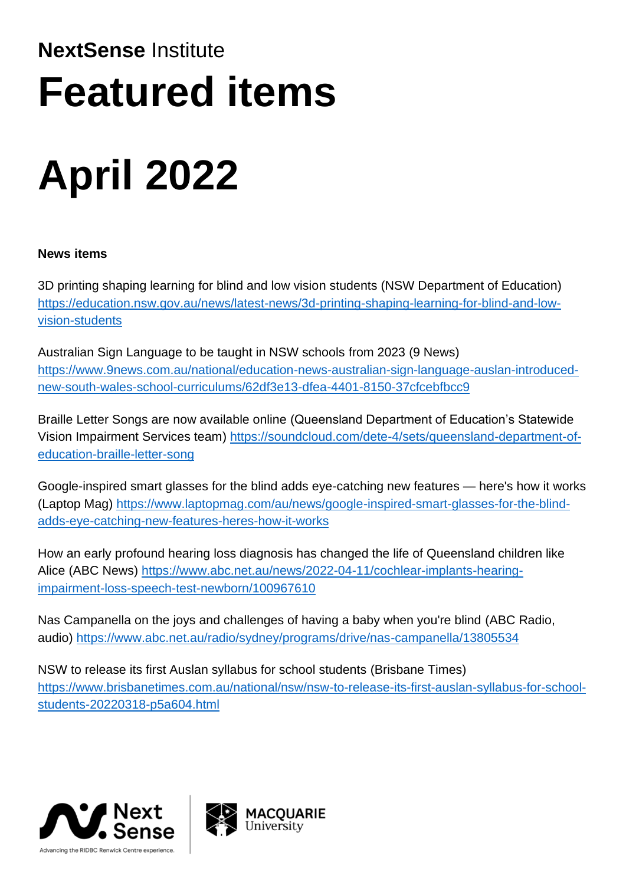# **NextSense** Institute **Featured items**

# **April 2022**

# **News items**

3D printing shaping learning for blind and low vision students (NSW Department of Education) [https://education.nsw.gov.au/news/latest-news/3d-printing-shaping-learning-for-blind-and-low](https://education.nsw.gov.au/news/latest-news/3d-printing-shaping-learning-for-blind-and-low-vision-students)[vision-students](https://education.nsw.gov.au/news/latest-news/3d-printing-shaping-learning-for-blind-and-low-vision-students)

Australian Sign Language to be taught in NSW schools from 2023 (9 News) [https://www.9news.com.au/national/education-news-australian-sign-language-auslan-introduced](https://www.9news.com.au/national/education-news-australian-sign-language-auslan-introduced-new-south-wales-school-curriculums/62df3e13-dfea-4401-8150-37cfcebfbcc9)[new-south-wales-school-curriculums/62df3e13-dfea-4401-8150-37cfcebfbcc9](https://www.9news.com.au/national/education-news-australian-sign-language-auslan-introduced-new-south-wales-school-curriculums/62df3e13-dfea-4401-8150-37cfcebfbcc9)

Braille Letter Songs are now available online (Queensland Department of Education's Statewide Vision Impairment Services team) [https://soundcloud.com/dete-4/sets/queensland-department-of](https://soundcloud.com/dete-4/sets/queensland-department-of-education-braille-letter-song)[education-braille-letter-song](https://soundcloud.com/dete-4/sets/queensland-department-of-education-braille-letter-song)

Google-inspired smart glasses for the blind adds eye-catching new features — here's how it works (Laptop Mag) [https://www.laptopmag.com/au/news/google-inspired-smart-glasses-for-the-blind](https://www.laptopmag.com/au/news/google-inspired-smart-glasses-for-the-blind-adds-eye-catching-new-features-heres-how-it-works)[adds-eye-catching-new-features-heres-how-it-works](https://www.laptopmag.com/au/news/google-inspired-smart-glasses-for-the-blind-adds-eye-catching-new-features-heres-how-it-works)

How an early profound hearing loss diagnosis has changed the life of Queensland children like Alice (ABC News) [https://www.abc.net.au/news/2022-04-11/cochlear-implants-hearing](https://www.abc.net.au/news/2022-04-11/cochlear-implants-hearing-impairment-loss-speech-test-newborn/100967610)[impairment-loss-speech-test-newborn/100967610](https://www.abc.net.au/news/2022-04-11/cochlear-implants-hearing-impairment-loss-speech-test-newborn/100967610)

Nas Campanella on the joys and challenges of having a baby when you're blind (ABC Radio, audio)<https://www.abc.net.au/radio/sydney/programs/drive/nas-campanella/13805534>

NSW to release its first Auslan syllabus for school students (Brisbane Times) [https://www.brisbanetimes.com.au/national/nsw/nsw-to-release-its-first-auslan-syllabus-for-school](https://www.brisbanetimes.com.au/national/nsw/nsw-to-release-its-first-auslan-syllabus-for-school-students-20220318-p5a604.html)[students-20220318-p5a604.html](https://www.brisbanetimes.com.au/national/nsw/nsw-to-release-its-first-auslan-syllabus-for-school-students-20220318-p5a604.html)



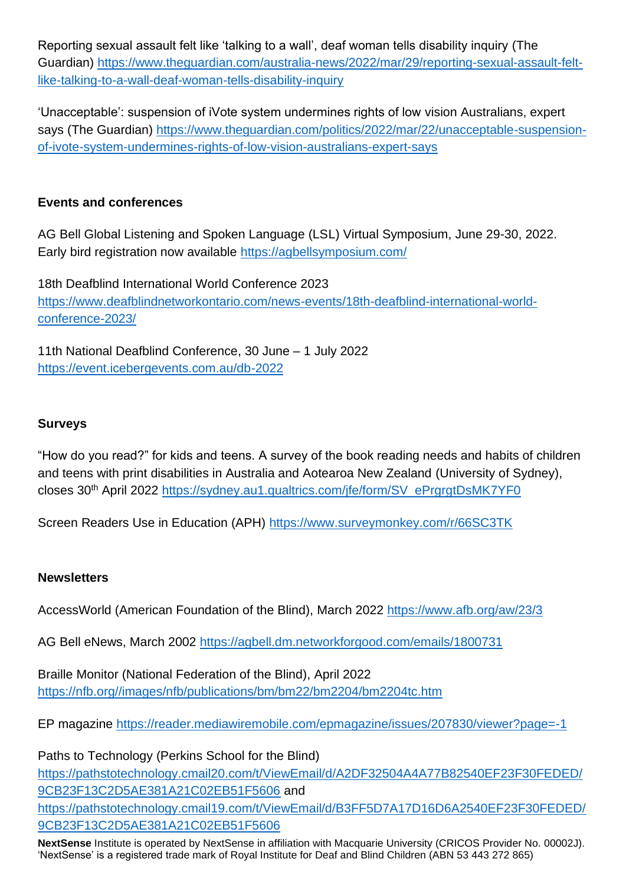Reporting sexual assault felt like 'talking to a wall', deaf woman tells disability inquiry (The Guardian) [https://www.theguardian.com/australia-news/2022/mar/29/reporting-sexual-assault-felt](https://www.theguardian.com/australia-news/2022/mar/29/reporting-sexual-assault-felt-like-talking-to-a-wall-deaf-woman-tells-disability-inquiry)[like-talking-to-a-wall-deaf-woman-tells-disability-inquiry](https://www.theguardian.com/australia-news/2022/mar/29/reporting-sexual-assault-felt-like-talking-to-a-wall-deaf-woman-tells-disability-inquiry)

'Unacceptable': suspension of iVote system undermines rights of low vision Australians, expert says (The Guardian) [https://www.theguardian.com/politics/2022/mar/22/unacceptable-suspension](https://www.theguardian.com/politics/2022/mar/22/unacceptable-suspension-of-ivote-system-undermines-rights-of-low-vision-australians-expert-says)[of-ivote-system-undermines-rights-of-low-vision-australians-expert-says](https://www.theguardian.com/politics/2022/mar/22/unacceptable-suspension-of-ivote-system-undermines-rights-of-low-vision-australians-expert-says)

## **Events and conferences**

AG Bell Global Listening and Spoken Language (LSL) Virtual Symposium, June 29-30, 2022. Early bird registration now available <https://agbellsymposium.com/>

18th Deafblind International World Conference 2023 [https://www.deafblindnetworkontario.com/news-events/18th-deafblind-international-world](https://www.deafblindnetworkontario.com/news-events/18th-deafblind-international-world-conference-2023/)[conference-2023/](https://www.deafblindnetworkontario.com/news-events/18th-deafblind-international-world-conference-2023/)

11th National Deafblind Conference, 30 June – 1 July 2022 <https://event.icebergevents.com.au/db-2022>

### **Surveys**

"How do you read?" for kids and teens. A survey of the book reading needs and habits of children and teens with print disabilities in Australia and Aotearoa New Zealand (University of Sydney), closes 30th April 2022 [https://sydney.au1.qualtrics.com/jfe/form/SV\\_ePrgrgtDsMK7YF0](https://sydney.au1.qualtrics.com/jfe/form/SV_ePrgrgtDsMK7YF0)

Screen Readers Use in Education (APH)<https://www.surveymonkey.com/r/66SC3TK>

#### **Newsletters**

AccessWorld (American Foundation of the Blind), March 2022 <https://www.afb.org/aw/23/3>

AG Bell eNews, March 2002<https://agbell.dm.networkforgood.com/emails/1800731>

Braille Monitor (National Federation of the Blind), April 2022 [https://nfb.org//images/nfb/publications/bm/bm22/bm2204/bm2204tc.htm](https://nfb.org/images/nfb/publications/bm/bm22/bm2204/bm2204tc.htm)

EP magazine <https://reader.mediawiremobile.com/epmagazine/issues/207830/viewer?page=-1>

Paths to Technology (Perkins School for the Blind) [https://pathstotechnology.cmail20.com/t/ViewEmail/d/A2DF32504A4A77B82540EF23F30FEDED/](https://pathstotechnology.cmail20.com/t/ViewEmail/d/A2DF32504A4A77B82540EF23F30FEDED/9CB23F13C2D5AE381A21C02EB51F5606) [9CB23F13C2D5AE381A21C02EB51F5606](https://pathstotechnology.cmail20.com/t/ViewEmail/d/A2DF32504A4A77B82540EF23F30FEDED/9CB23F13C2D5AE381A21C02EB51F5606) and [https://pathstotechnology.cmail19.com/t/ViewEmail/d/B3FF5D7A17D16D6A2540EF23F30FEDED/](https://pathstotechnology.cmail19.com/t/ViewEmail/d/B3FF5D7A17D16D6A2540EF23F30FEDED/9CB23F13C2D5AE381A21C02EB51F5606) [9CB23F13C2D5AE381A21C02EB51F5606](https://pathstotechnology.cmail19.com/t/ViewEmail/d/B3FF5D7A17D16D6A2540EF23F30FEDED/9CB23F13C2D5AE381A21C02EB51F5606)

**NextSense** Institute is operated by NextSense in affiliation with Macquarie University (CRICOS Provider No. 00002J). 'NextSense' is a registered trade mark of Royal Institute for Deaf and Blind Children (ABN 53 443 272 865)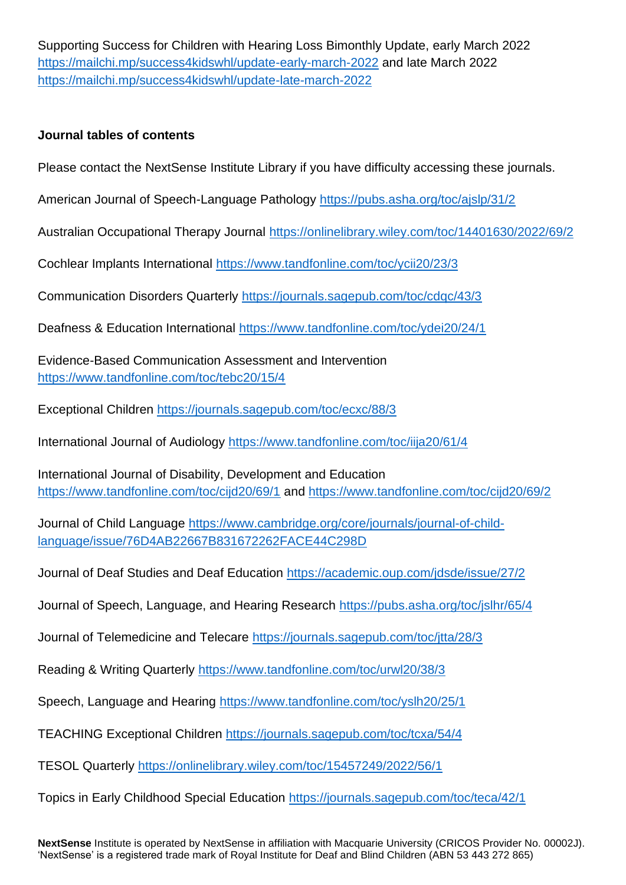Supporting Success for Children with Hearing Loss Bimonthly Update, early March 2022 <https://mailchi.mp/success4kidswhl/update-early-march-2022> and late March 2022 <https://mailchi.mp/success4kidswhl/update-late-march-2022>

#### **Journal tables of contents**

Please contact the NextSense Institute Library if you have difficulty accessing these journals.

American Journal of Speech-Language Pathology <https://pubs.asha.org/toc/ajslp/31/2>

Australian Occupational Therapy Journal <https://onlinelibrary.wiley.com/toc/14401630/2022/69/2>

Cochlear Implants International <https://www.tandfonline.com/toc/ycii20/23/3>

Communication Disorders Quarterly <https://journals.sagepub.com/toc/cdqc/43/3>

Deafness & Education International <https://www.tandfonline.com/toc/ydei20/24/1>

Evidence-Based Communication Assessment and Intervention <https://www.tandfonline.com/toc/tebc20/15/4>

Exceptional Children <https://journals.sagepub.com/toc/ecxc/88/3>

International Journal of Audiology <https://www.tandfonline.com/toc/iija20/61/4>

International Journal of Disability, Development and Education <https://www.tandfonline.com/toc/cijd20/69/1> and<https://www.tandfonline.com/toc/cijd20/69/2>

Journal of Child Language [https://www.cambridge.org/core/journals/journal-of-child](https://www.cambridge.org/core/journals/journal-of-child-language/issue/76D4AB22667B831672262FACE44C298D)[language/issue/76D4AB22667B831672262FACE44C298D](https://www.cambridge.org/core/journals/journal-of-child-language/issue/76D4AB22667B831672262FACE44C298D)

Journal of Deaf Studies and Deaf Education <https://academic.oup.com/jdsde/issue/27/2>

Journal of Speech, Language, and Hearing Research <https://pubs.asha.org/toc/jslhr/65/4>

Journal of Telemedicine and Telecare <https://journals.sagepub.com/toc/jtta/28/3>

Reading & Writing Quarterly <https://www.tandfonline.com/toc/urwl20/38/3>

Speech, Language and Hearing <https://www.tandfonline.com/toc/yslh20/25/1>

TEACHING Exceptional Children <https://journals.sagepub.com/toc/tcxa/54/4>

TESOL Quarterly <https://onlinelibrary.wiley.com/toc/15457249/2022/56/1>

Topics in Early Childhood Special Education <https://journals.sagepub.com/toc/teca/42/1>